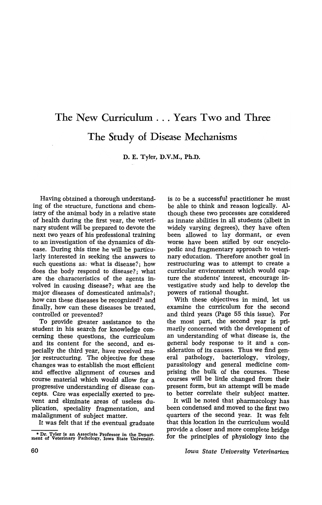## The New Curricuhun ... Years Two and Three The Study of Disease Mechanisms

D. E. Tyler, D.V.M., Ph.D.

Having obtained a thorough understanding of the structure, functions and chemistry of the animal body in a relative state of health during the first year, the veterinary student will be prepared to devote the next two years of his professional training to an investigation of the dynamics of disease. During this time he will be particularly interested in seeking the answers to such questions as: what is disease?; how does the body respond to disease?; what are the characteristics of the agents involved in causing disease?; what are the major diseases of domesticated animals?; how can these diseases be recognized? and finally, how can these diseases be treated, controlled or prevented?

To provide greater assistance to the student in his search for knowledge concerning these questions, the curriculum and its content for the second, and especially the third year, have received major restructuring. The objective for these changes was to establish the most efficient and effective alignment of courses and course material which would allow for a progressive understanding of disease concepts. Care was especially exerted to prevent and eliminate areas of useless duplication, speciality fragmentation, and malalignment of subject matter.

It was felt that if the eventual graduate

is to be a successful practitioner he must be able to think and reason logically. Although these two processes are considered as innate abilities in all students (albeit in widely varying degrees), they have often been allowed to lay dormant, or even worse have been stifled by our encyclopedic and fragmentary approach to veterinary education. Therefore another goal in restructuring was to attempt to create a curricular environment which would capture the students' interest, encourage investigative study and help to develop the powers of rational thought.

With these objectives in mind, let us examine the curriculum for the second and third years (Page 55 this issue). For the most part, the second year is primarily concerned with the development of an understanding of what disease is, the general body response to it and a consideration of its causes. Thus we find general pathology, bacteriology, virology, parasitology and general medicine comprising the bulk of the courses. These courses will be little changed from their present form, but an attempt will be made to better correlate their subject matter.

It will be noted that pharmacology has been condensed and moved to the first two quarters of the second year. It was felt that this location in the curriculum would provide a closer and more complete bridge for the principles of physiology into the

*Iowa State University Veterinarian* 

<sup>•</sup> Dr. Tyler is an Associate Professor in the Depart· ment of Veterinary Pathology, Iowa State University.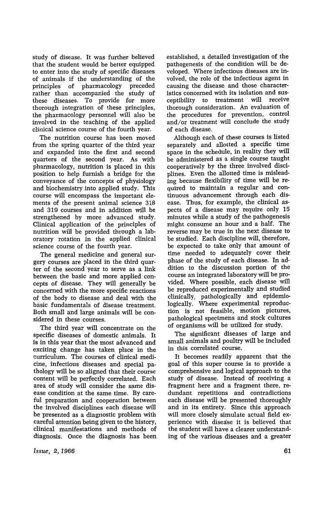study of disease. It was further believed that the student would be better equipped to enter into the study of specific diseases of animals if the understanding of the principles of pharmacology preceded rather than accompanied the study of these diseases. To provide for more thorough integration of these principles, the pharmacology personnel will also be involved in the teaching of the applied clinical science course of the fourth year.

The nutrition course has been moved from the spring quarter of the third year and expanded into the first and second quarters of the second year. As with pharmacology, nutrition is placed in this position to help furnish a bridge for the conveyance of the concepts of physiology and biochemistry into applied study. This course will encompass the important elements of the present animal science 318 and 319 courses and in addition will be strengthened by more advanced study. Clinical application of the principles of nutrition will be provided through a laboratory rotation in the applied clinical science course of the fourth year.

The general medicine and general surgery courses are placed in the third quarter of the second year to serve as a link between the basic and more applied concepts of disease. They will generally be concerned with the more specific reactions of the body to disease and deal with the basic fundamentals of disease treatment. Both small and large animals will be considered in these courses.

The third year will concentrate on the specific diseases of domestic animals. It is in this year that the most advanced and exciting change has taken place in the curriculum. The courses of clinical medicine, infectious diseases and special pathology will be so aligned that their course content will be perfectly correlated. Each area of study will consider the same disease condition at the same time. By careiul preparation and cooperation between the involved disciplines each disease will be presented as a diagnostic problem with careful attention being given to the history, clinical manifestations and methods of diagnosis. Once the diagnosis has' been established, a detailed investigation of the pathogenesis of the condition will be developed. Where infectious diseases are involved, the role of the infectious agent in causing the disease and those characteristics concerned with its isolation and susceptibility to treatment will receive thorough consideration. An evaluation of the procedures for prevention, control and/or treatment will conclude the study of each disease.

Although each of these courses is listed separately and allotted a specific time space in the schedule, in reality they will be administered as a single course taught cooperatively by the three involved disciplines. Even the allotted time is misleading because flexibility of time will be required to maintain a regular and continuous advancement through each disease. Thus, for example, the clinical aspects of a disease may require only 15 minutes while a study of the pathogenesis might consume an hour and a half. The reverse may be true in the next disease to be studied. Each discipline will, therefore, be expected to take only that amount of time needed to adequately cover their phase of the study of each disease. In addition to the discussion portion of the course an integrated laboratory will be provided. Where possible, each disease will be reproduced experimentally and studied clinically, pathologically and epidemiologically. Where experimental reproduction is not feasible, motion pictures, pathological specimens and stock cultures of organisms will be utilized for study.

The significant diseases of large and small animals and poultry will be included in this correlated course.

It becomes readily apparent that the goal of this super course is to provide a comprehensive and logical approach to the study of disease. Instead of receiving a fragment here and a fragment there, redundant repetitions and contradictions each disease will be presented thoroughly and in its entirety. Since this approach will more closely simulate actual field experience with disease it is believed that the student will have a clearer understanding of the various diseases and a greater